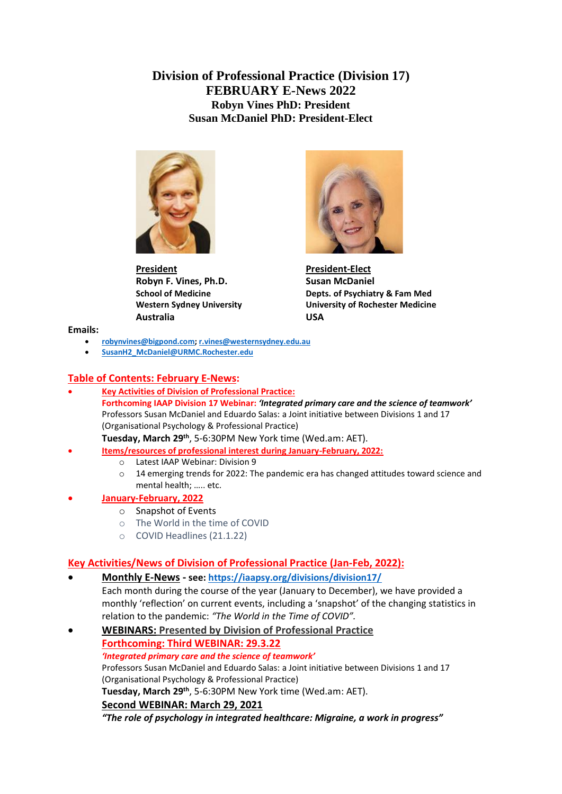**Division of Professional Practice (Division 17) FEBRUARY E-News 2022 Robyn Vines PhD: President Susan McDaniel PhD: President-Elect**



**President President-Elect Robyn F. Vines, Ph.D.** Susan McDaniel **Australia USA**



**School of Medicine Depts. of Psychiatry & Fam Med Western Sydney University University of Rochester Medicine**

**Emails:**

- **[robynvines@bigpond.com;](mailto:robynvines@bigpond.com) [r.vines@westernsydney.edu.au](mailto:r.vines@westernsydney.edu.au)**
- **[SusanH2\\_McDaniel@URMC.Rochester.edu](mailto:SusanH2_McDaniel@URMC.Rochester.edu)**

### **Table of Contents: February E-News:**

• **Key Activities of Division of Professional Practice: Forthcoming IAAP Division 17 Webinar:** *'Integrated primary care and the science of teamwork'* Professors Susan McDaniel and Eduardo Salas: a Joint initiative between Divisions 1 and 17 (Organisational Psychology & Professional Practice)

**Tuesday, March 29th**, 5-6:30PM New York time (Wed.am: AET).

- **Items/resources of professional interest during January-February, 2022:**
	- o Latest IAAP Webinar: Division 9
	- $\circ$  14 emerging trends for 2022: The pandemic era has changed attitudes toward science and mental health; ….. etc.

### • **January-February, 2022**

- o Snapshot of Events
- o The World in the time of COVID
- o COVID Headlines (21.1.22)

# **Key Activities/News of Division of Professional Practice (Jan-Feb, 2022):**

- **Monthly E-News - see[: https://iaapsy.org/divisions/division17/](https://iaapsy.org/divisions/division17/)** Each month during the course of the year (January to December), we have provided a monthly 'reflection' on current events, including a 'snapshot' of the changing statistics in relation to the pandemic: *"The World in the Time of COVID".*
- **WEBINARS: Presented by Division of Professional Practice Forthcoming: Third WEBINAR: 29.3.22** *'Integrated primary care and the science of teamwork'* Professors Susan McDaniel and Eduardo Salas: a Joint initiative between Divisions 1 and 17 (Organisational Psychology & Professional Practice) **Tuesday, March 29th**, 5-6:30PM New York time (Wed.am: AET). **Second WEBINAR: March 29, 2021**

*"The role of psychology in integrated healthcare: Migraine, a work in progress"*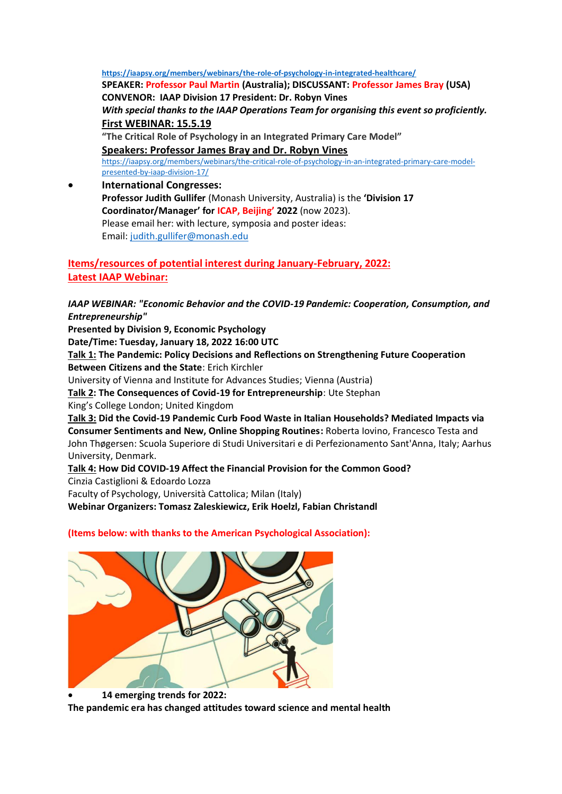**<https://iaapsy.org/members/webinars/the-role-of-psychology-in-integrated-healthcare/> SPEAKER: Professor Paul Martin (Australia); DISCUSSANT: Professor James Bray (USA) CONVENOR: IAAP Division 17 President: Dr. Robyn Vines**  *With special thanks to the IAAP Operations Team for organising this event so proficiently.* **First WEBINAR: 15.5.19 "The Critical Role of Psychology in an Integrated Primary Care Model" Speakers: Professor James Bray and Dr. Robyn Vines**  [https://iaapsy.org/members/webinars/the-critical-role-of-psychology-in-an-integrated-primary-care-model](https://iaapsy.org/members/webinars/the-critical-role-of-psychology-in-an-integrated-primary-care-model-presented-by-iaap-division-17/)[presented-by-iaap-division-17/](https://iaapsy.org/members/webinars/the-critical-role-of-psychology-in-an-integrated-primary-care-model-presented-by-iaap-division-17/) • **International Congresses:** 

**Professor Judith Gullifer** (Monash University, Australia) is the **'Division 17 Coordinator/Manager' for ICAP, Beijing' 2022** (now 2023). Please email her: with lecture, symposia and poster ideas: Email: [judith.gullifer@monash.edu](mailto:judith.gullifer@monash.edu)

**Items/resources of potential interest during January-February, 2022: Latest IAAP Webinar:**

*IAAP WEBINAR: "Economic Behavior and the COVID-19 Pandemic: Cooperation, Consumption, and Entrepreneurship"*

**Presented by Division 9, Economic Psychology**

**Date/Time: Tuesday, January 18, 2022 16:00 UTC**

**Talk 1: The Pandemic: Policy Decisions and Reflections on Strengthening Future Cooperation Between Citizens and the State**: Erich Kirchler

University of Vienna and Institute for Advances Studies; Vienna (Austria)

**Talk 2: The Consequences of Covid-19 for Entrepreneurship**: Ute Stephan

King's College London; United Kingdom

**Talk 3: Did the Covid-19 Pandemic Curb Food Waste in Italian Households? Mediated Impacts via Consumer Sentiments and New, Online Shopping Routines:** Roberta Iovino, Francesco Testa and John Thøgersen: Scuola Superiore di Studi Universitari e di Perfezionamento Sant'Anna, Italy; Aarhus University, Denmark.

# **Talk 4: How Did COVID-19 Affect the Financial Provision for the Common Good?**

Cinzia Castiglioni & Edoardo Lozza

Faculty of Psychology, Università Cattolica; Milan (Italy)

**Webinar Organizers: Tomasz Zaleskiewicz, Erik Hoelzl, Fabian Christandl**

### **(Items below: with thanks to the American Psychological Association):**



#### • **14 emerging trends for 2022:**

**The pandemic era has changed attitudes toward science and mental health**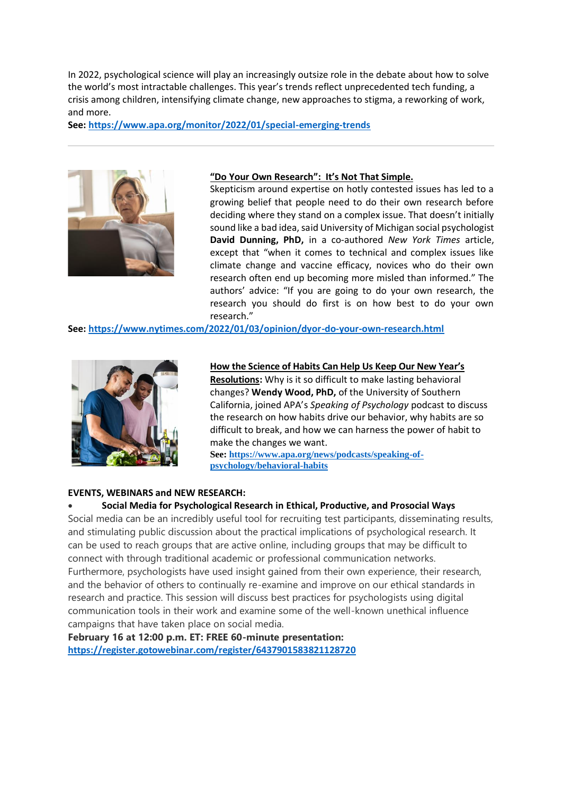In 2022, psychological science will play an increasingly outsize role in the debate about how to solve the world's most intractable challenges. This year's trends reflect unprecedented tech funding, a crisis among children, intensifying climate change, new approaches to stigma, a reworking of work, and more.

**See:<https://www.apa.org/monitor/2022/01/special-emerging-trends>**



#### **["Do Your Own Research"](https://click.info.apa.org/?qs=50e267fa6985d6fde6db94e22850e850aa60434ccb9f8d15d204d15eca46373683e17204e74703fd7d7cdaa5cb29c2d188c02888ad9eca9c): It's Not That Simple.**

Skepticism around expertise on hotly contested issues has led to a growing belief that people need to do their own research before deciding where they stand on a complex issue. That doesn't initially sound like a bad idea, said University of Michigan social psychologist **David Dunning, PhD,** in a co-authored *New York Times* article, except that "when it comes to technical and complex issues like climate change and vaccine efficacy, novices who do their own research often end up becoming more misled than informed." The authors' advice: "If you are going to do your own research, the research you should do first is on how best to do your own research."

**See:<https://www.nytimes.com/2022/01/03/opinion/dyor-do-your-own-research.html>**



#### **How the Science of Habi[ts Can Help Us Keep Our New Year's](https://click.info.apa.org/?qs=50e267fa6985d6fd5a6ec8dc54277d2d01970d449b8d23ebc2598ad4210104ec68a0bf7a3065a294d4d13defa94fc79c64d6cd55e98d743a)**

**[Resolutions:](https://click.info.apa.org/?qs=50e267fa6985d6fd5a6ec8dc54277d2d01970d449b8d23ebc2598ad4210104ec68a0bf7a3065a294d4d13defa94fc79c64d6cd55e98d743a)** Why is it so difficult to make lasting behavioral changes? **Wendy Wood, PhD,** of the University of Southern California, joined APA's *Speaking of Psychology* podcast to discuss the research on how habits drive our behavior, why habits are so difficult to break, and how we can harness the power of habit to make the changes we want.

**See[: https://www.apa.org/news/podcasts/speaking-of](https://www.apa.org/news/podcasts/speaking-of-psychology/behavioral-habits)[psychology/behavioral-habits](https://www.apa.org/news/podcasts/speaking-of-psychology/behavioral-habits)**

### **EVENTS, WEBINARS and NEW RESEARCH:**

#### • **Social Media for Psychological Research in Ethical, Productive, and Prosocial Ways**

Social media can be an incredibly useful tool for recruiting test participants, disseminating results, and stimulating public discussion about the practical implications of psychological research. It can be used to reach groups that are active online, including groups that may be difficult to connect with through traditional academic or professional communication networks. Furthermore, psychologists have used insight gained from their own experience, their research, and the behavior of others to continually re-examine and improve on our ethical standards in research and practice. This session will discuss best practices for psychologists using digital communication tools in their work and examine some of the well-known unethical influence campaigns that have taken place on social media.

**February 16 at 12:00 p.m. ET: FREE 60-minute presentation: <https://register.gotowebinar.com/register/6437901583821128720>**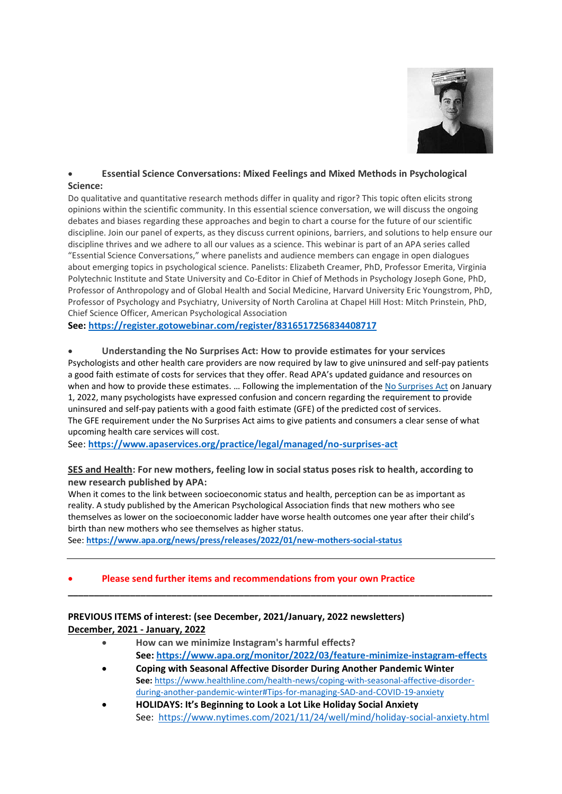

### • **Essential Science Conversations: Mixed Feelings and Mixed Methods in Psychological Science:**

Do qualitative and quantitative research methods differ in quality and rigor? This topic often elicits strong opinions within the scientific community. In this essential science conversation, we will discuss the ongoing debates and biases regarding these approaches and begin to chart a course for the future of our scientific discipline. Join our panel of experts, as they discuss current opinions, barriers, and solutions to help ensure our discipline thrives and we adhere to all our values as a science. This webinar is part of an APA series called "Essential Science Conversations," where panelists and audience members can engage in open dialogues about emerging topics in psychological science. Panelists: Elizabeth Creamer, PhD, Professor Emerita, Virginia Polytechnic Institute and State University and Co-Editor in Chief of Methods in Psychology Joseph Gone, PhD, Professor of Anthropology and of Global Health and Social Medicine, Harvard University Eric Youngstrom, PhD, Professor of Psychology and Psychiatry, University of North Carolina at Chapel Hill Host: Mitch Prinstein, PhD, Chief Science Officer, American Psychological Association

**See:<https://register.gotowebinar.com/register/8316517256834408717>**

• **Understanding the No Surprises Act: How to provide estimates for your services** Psychologists and other health care providers are now required by law to give uninsured and self-pay patients a good faith estimate of costs for services that they offer. Read APA's updated guidance and resources on when and how to provide these estimates. ... Following the implementation of the No [Surprises](https://www.apaservices.org/practice/legal/managed/billing-disclosure-requirements) Act on January 1, 2022, many psychologists have expressed confusion and concern regarding the requirement to provide uninsured and self-pay patients with a good faith estimate (GFE) of the predicted cost of services. The GFE requirement under the No Surprises Act aims to give patients and consumers a clear sense of what upcoming health care services will cost.

See: **<https://www.apaservices.org/practice/legal/managed/no-surprises-act>**

### **[SES and Health:](https://click.info.apa.org/?qs=85f1660e055be4b5b96c61ca02f6a6681f24cfffcba208a0c58cb352259e484a63ac9610dad90b45367d52d8bbbd0de476488dbc7a00cd52) For new mothers, feeling low in social status poses risk to health, according to new research published by APA:**

When it comes to the link between socioeconomic status and health, perception can be as important as reality. A study published by the American Psychological Association finds that new mothers who see themselves as lower on the socioeconomic ladder have worse health outcomes one year after their child's birth than new mothers who see themselves as higher status.

**\_\_\_\_\_\_\_\_\_\_\_\_\_\_\_\_\_\_\_\_\_\_\_\_\_\_\_\_\_\_\_\_\_\_\_\_\_\_\_\_\_\_\_\_\_\_\_\_\_\_\_\_\_\_\_\_\_\_\_\_\_\_\_\_\_\_\_\_\_\_\_\_\_\_\_\_\_\_\_\_\_\_**

See: **<https://www.apa.org/news/press/releases/2022/01/new-mothers-social-status>**

#### • **Please send further items and recommendations from your own Practice**

### **PREVIOUS ITEMS of interest: (see December, 2021/January, 2022 newsletters) December, 2021 - January, 2022**

- **How can we minimize Instagram's harmful effects? See:<https://www.apa.org/monitor/2022/03/feature-minimize-instagram-effects>**
- **Coping with Seasonal Affective Disorder During Another Pandemic Winter See:** [https://www.healthline.com/health-news/coping-with-seasonal-affective-disorder](https://www.healthline.com/health-news/coping-with-seasonal-affective-disorder-during-another-pandemic-winter#Tips-for-managing-SAD-and-COVID-19-anxiety)[during-another-pandemic-winter#Tips-for-managing-SAD-and-COVID-19-anxiety](https://www.healthline.com/health-news/coping-with-seasonal-affective-disorder-during-another-pandemic-winter#Tips-for-managing-SAD-and-COVID-19-anxiety)
- **HOLIDAYS: It's Beginning to Look a Lot Like Holiday Social Anxiety** See: <https://www.nytimes.com/2021/11/24/well/mind/holiday-social-anxiety.html>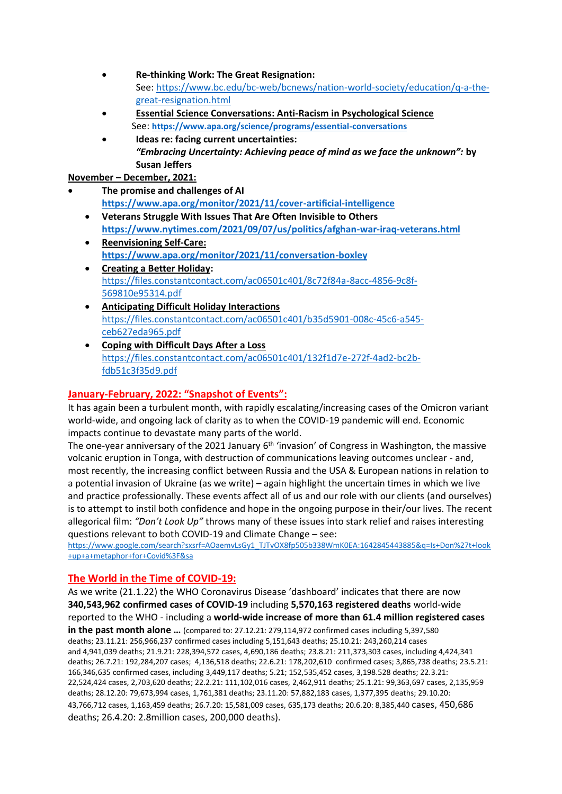- **Re-thinking Work: The Great Resignation:**  See: [https://www.bc.edu/bc-web/bcnews/nation-world-society/education/q-a-the](https://www.bc.edu/bc-web/bcnews/nation-world-society/education/q-a-the-great-resignation.html)[great-resignation.html](https://www.bc.edu/bc-web/bcnews/nation-world-society/education/q-a-the-great-resignation.html)
- **[Essential Science Conversations: Anti-Racism in Psychological Science](https://click.info.apa.org/?qs=2d25e94c72bcc4212c202a2d5710de7d8be2d2f9c6bde9c4290670b716a5ed53a434494e9c5034764e94f65c82da453575fbcb6493626760)** See: **<https://www.apa.org/science/programs/essential-conversations>**
- **Ideas re: facing current uncertainties:** *"Embracing Uncertainty: Achieving peace of mind as we face the unknown":* **by Susan Jeffers**

**November – December, 2021:** 

- **The promise and challenges of AI <https://www.apa.org/monitor/2021/11/cover-artificial-intelligence>**
	- **Veterans Struggle With Issues [That Are Often Invisible to Others](https://click.info.apa.org/?qs=033e6414bc39f4a66e368e31d2432e67fac26b42bf2a8ffd89b0977ea4ada9be6edc251c2dbe6ae30b9d961731ba638c652cb60a32089920) <https://www.nytimes.com/2021/09/07/us/politics/afghan-war-iraq-veterans.html>**
	- **[Reenvisioning Self-Care:](https://click.info.apa.org/?qs=033e6414bc39f4a6f15baddcee22c38e0e20278134af50240bd013d5c611ed0a4a158b43223443730cd58732ba3f821350987835bb0fab7d) <https://www.apa.org/monitor/2021/11/conversation-boxley>**
	- **[Creating a Better Holiday:](https://r20.rs6.net/tn.jsp?f=001JAro23uGdmTBnAS8zGwD5YVokW1GGoGa3EoUDJY8ZO4O7QGbYb_VgUqcvjj7VlbZ0TQybH2OwuaeuL3LgcGc9PwfbzOY1YVPOn6HOq4C5TTZQUWL1YbYoD4Xh34bWcD2rTVOtw0a4qy1cffscu_ABRkAL_IH_NFsCKJFzs_PVz95Dp2iHBsjLeWhGmxIkhtZZpZopj0M99ECMiJlbqsRWCuRL05N1zrIvLOxQJfVPC4=&c=-EA_e4kxch5K_YGmuwcw-TWuCwmqe5mcRJH8xAzZk0U_Hz-iFnN_Aw==&ch=mAcTtEmTTx_PErEMbpOziVMt1siiWrkqGW1MrCPM6WBKmIdIdX25mg==)**  [https://files.constantcontact.com/ac06501c401/8c72f84a-8acc-4856-9c8f-](https://files.constantcontact.com/ac06501c401/8c72f84a-8acc-4856-9c8f-569810e95314.pdf)[569810e95314.pdf](https://files.constantcontact.com/ac06501c401/8c72f84a-8acc-4856-9c8f-569810e95314.pdf)
	- **[Anticipating Difficult Holiday Interactions](https://r20.rs6.net/tn.jsp?f=001JAro23uGdmTBnAS8zGwD5YVokW1GGoGa3EoUDJY8ZO4O7QGbYb_VgUqcvjj7VlbZYSBWiCw2Ci3TWwmzkiv_rGO5squb1_pyUicGMRMAIsU-zU27lfWX5z3ThnAP6kkkjPuiKgsO4kx6lxZhMK_1uCnCocHht9mpR2WmzUieivz_qxhH_mdB7oDZf_uG3TvOs_Xm3vquTknM6x8HmlM1hknzbIXLcZpZMjM02aAGlfM=&c=-EA_e4kxch5K_YGmuwcw-TWuCwmqe5mcRJH8xAzZk0U_Hz-iFnN_Aw==&ch=mAcTtEmTTx_PErEMbpOziVMt1siiWrkqGW1MrCPM6WBKmIdIdX25mg==)** [https://files.constantcontact.com/ac06501c401/b35d5901-008c-45c6-a545](https://files.constantcontact.com/ac06501c401/b35d5901-008c-45c6-a545-ceb627eda965.pdf) [ceb627eda965.pdf](https://files.constantcontact.com/ac06501c401/b35d5901-008c-45c6-a545-ceb627eda965.pdf)
	- **[Coping with Difficult Days After a Loss](https://r20.rs6.net/tn.jsp?f=001JAro23uGdmTBnAS8zGwD5YVokW1GGoGa3EoUDJY8ZO4O7QGbYb_VgXrwNUxEA2EqgjZyhZ0NokUpfZigwp_FJyD920SiPYSfY81F_9bqs4suuOk7dTuho_Q39wVij-6pVlbGhmDE40KQi2E7XDIvfowHbSov1cZQQ-q-Ed5cbaZI6UlaKY4GaYUE13eLr4ILZvwPLcdA6RAEmH0oeTPCgYDxDznQ1tY2I2keP7wgPDw=&c=-EA_e4kxch5K_YGmuwcw-TWuCwmqe5mcRJH8xAzZk0U_Hz-iFnN_Aw==&ch=mAcTtEmTTx_PErEMbpOziVMt1siiWrkqGW1MrCPM6WBKmIdIdX25mg==)** [https://files.constantcontact.com/ac06501c401/132f1d7e-272f-4ad2-bc2b](https://files.constantcontact.com/ac06501c401/132f1d7e-272f-4ad2-bc2b-fdb51c3f35d9.pdf)[fdb51c3f35d9.pdf](https://files.constantcontact.com/ac06501c401/132f1d7e-272f-4ad2-bc2b-fdb51c3f35d9.pdf)

# **January-February, 2022: "Snapshot of Events":**

It has again been a turbulent month, with rapidly escalating/increasing cases of the Omicron variant world-wide, and ongoing lack of clarity as to when the COVID-19 pandemic will end. Economic impacts continue to devastate many parts of the world.

The one-year anniversary of the 2021 January  $6<sup>th</sup>$  'invasion' of Congress in Washington, the massive volcanic eruption in Tonga, with destruction of communications leaving outcomes unclear - and, most recently, the increasing conflict between Russia and the USA & European nations in relation to a potential invasion of Ukraine (as we write) – again highlight the uncertain times in which we live and practice professionally. These events affect all of us and our role with our clients (and ourselves) is to attempt to instil both confidence and hope in the ongoing purpose in their/our lives. The recent allegorical film: *"Don't Look Up"* throws many of these issues into stark relief and raises interesting questions relevant to both COVID-19 and Climate Change – see:

[https://www.google.com/search?sxsrf=AOaemvLsGy1\\_TJTvOX8fp505b338WmK0EA:1642845443885&q=Is+Don%27t+look](https://www.google.com/search?sxsrf=AOaemvLsGy1_TJTvOX8fp505b338WmK0EA:1642845443885&q=Is+Don%27t+look+up+a+metaphor+for+Covid%3F&sa) [+up+a+metaphor+for+Covid%3F&sa](https://www.google.com/search?sxsrf=AOaemvLsGy1_TJTvOX8fp505b338WmK0EA:1642845443885&q=Is+Don%27t+look+up+a+metaphor+for+Covid%3F&sa)

# **The World in the Time of COVID-19:**

As we write (21.1.22) the [WHO Coronavirus Disease 'dashboard'](https://covid19.who.int/) indicates that there are now **340,543,962 confirmed cases of COVID-19** including **5,570,163 registered deaths** world-wide reported to the WHO - including a **world-wide increase of more than 61.4 million registered cases in the past month alone …** (compared to: 27.12.21: 279,114,972 confirmed cases including 5,397,580 deaths; 23.11.21: 256,966,237 confirmed cases including 5,151,643 deaths; 25.10.21: 243,260,214 cases and 4,941,039 deaths; 21.9.21: 228,394,572 cases, 4,690,186 deaths; 23.8.21: 211,373,303 cases, including 4,424,341 deaths; 26.7.21: 192,284,207 cases; 4,136,518 deaths; 22.6.21: 178,202,610 confirmed cases; 3,865,738 deaths; 23.5.21: 166,346,635 confirmed cases, including 3,449,117 deaths; 5.21; 152,535,452 cases, 3,198.528 deaths; 22.3.21: 22,524,424 cases, 2,703,620 deaths; 22.2.21: 111,102,016 cases, 2,462,911 deaths; 25.1.21: 99,363,697 cases, 2,135,959 deaths; 28.12.20: 79,673,994 cases, 1,761,381 deaths; 23.11.20: 57,882,183 cases, 1,377,395 deaths; 29.10.20: 43,766,712 cases, 1,163,459 deaths; 26.7.20: 15,581,009 cases, 635,173 deaths; 20.6.20: 8,385,440 cases, 450,686 deaths; 26.4.20: 2.8million cases, 200,000 deaths).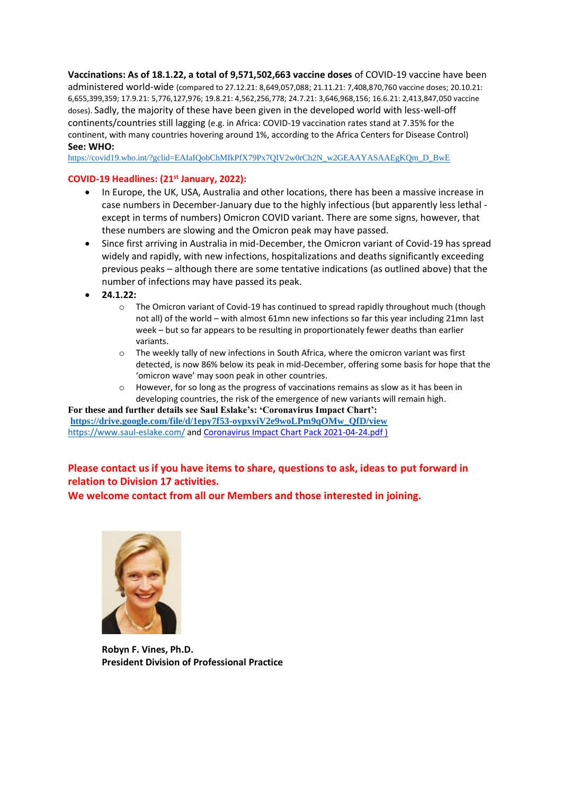**Vaccinations: As of 18.1.22, a total of 9,571,502,663 vaccine doses** of COVID-19 vaccine have been administered world-wide (compared to 27.12.21: 8,649,057,088; 21.11.21: 7,408,870,760 vaccine doses; 20.10.21: 6,655,399,359; 17.9.21: 5,776,127,976; 19.8.21: 4,562,256,778; 24.7.21: 3,646,968,156; 16.6.21: 2,413,847,050 vaccine doses). Sadly, the majority of these have been given in the developed world with less-well-off continents/countries still lagging (e.g. in Africa: COVID-19 vaccination rates stand at 7.35% for the continent, with many countries hovering around 1%, according to the [Africa Centers for Disease Control\)](https://africacdc.org/covid-19-vaccination/) **See: WHO:** 

[https://covid19.who.int/?gclid=EAIaIQobChMIkPfX79Px7QIV2w0rCh2N\\_w2GEAAYASAAEgKQm\\_D\\_BwE](https://covid19.who.int/?gclid=EAIaIQobChMIkPfX79Px7QIV2w0rCh2N_w2GEAAYASAAEgKQm_D_BwE)

#### **COVID-19 Headlines: (21st January, 2022):**

- In Europe, the UK, USA, Australia and other locations, there has been a massive increase in case numbers in December-January due to the highly infectious (but apparently less lethal except in terms of numbers) Omicron COVID variant. There are some signs, however, that these numbers are slowing and the Omicron peak may have passed.
- Since first arriving in Australia in mid-December, the Omicron variant of Covid-19 has spread widely and rapidly, with new infections, hospitalizations and deaths significantly exceeding previous peaks – although there are some tentative indications (as outlined above) that the number of infections may have passed its peak.
- **24.1.22:**
	- $\circ$  The Omicron variant of Covid-19 has continued to spread rapidly throughout much (though not all) of the world – with almost 61mn new infections so far this year including 21mn last week – but so far appears to be resulting in proportionately fewer deaths than earlier variants.
	- $\circ$  The weekly tally of new infections in South Africa, where the omicron variant was first detected, is now 86% below its peak in mid-December, offering some basis for hope that the 'omicron wave' may soon peak in other countries.
	- o However, for so long as the progress of vaccinations remains as slow as it has been in developing countries, the risk of the emergence of new variants will remain high.

**For these and further details see Saul Eslake's: 'Coronavirus Impact Chart': [https://drive.google.com/file/d/1epy7f53-oypxyiV2e9woLPm9qOMw\\_QfD/view](https://drive.google.com/file/d/1epy7f53-oypxyiV2e9woLPm9qOMw_QfD/view)** <https://www.saul-eslake.com/> and [Coronavirus Impact Chart Pack 2021-04-24.pdf](file:///C:/Users/61477/AppData/Local/Microsoft/Windows/INetCache/Content.Outlook/MBGWFIBC/Coronavirus%20Impact%20Chart%20Pack%202021-04-24.pdf) )

## **Please contact us if you have items to share, questions to ask, ideas to put forward in relation to Division 17 activities.**

**We welcome contact from all our Members and those interested in joining.**



**Robyn F. Vines, Ph.D. President Division of Professional Practice**